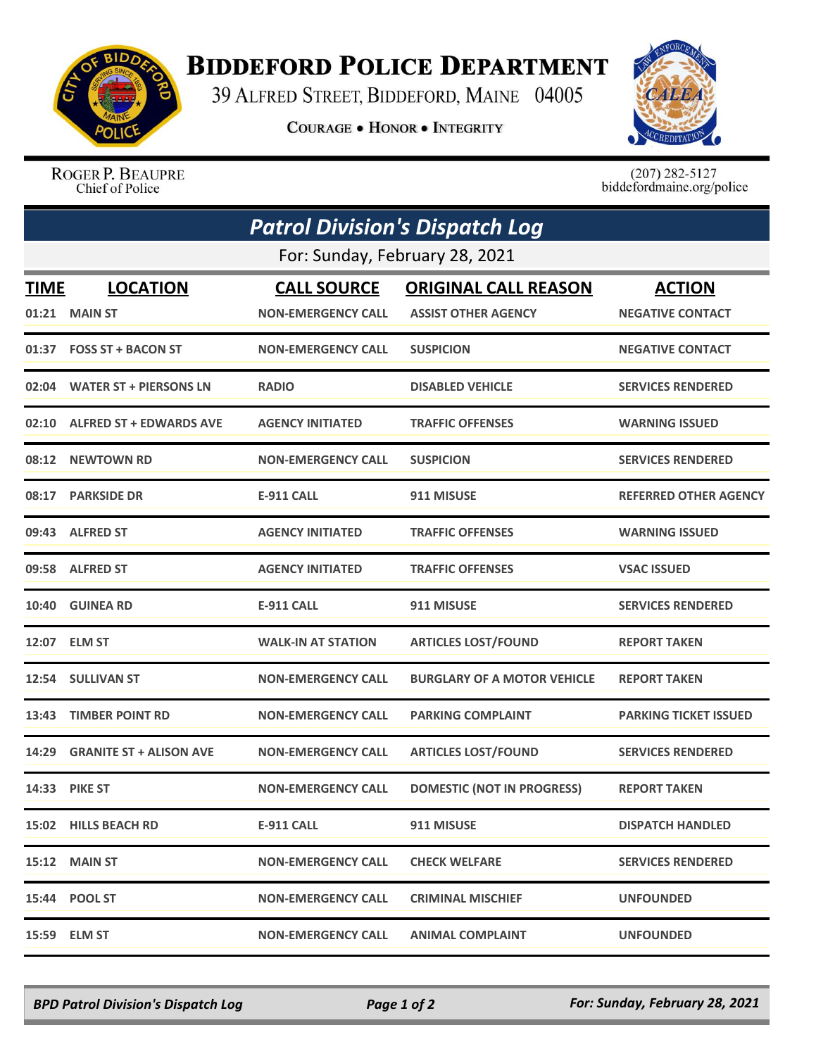

## **BIDDEFORD POLICE DEPARTMENT**

39 ALFRED STREET, BIDDEFORD, MAINE 04005

**COURAGE . HONOR . INTEGRITY** 



ROGER P. BEAUPRE Chief of Police

 $(207)$  282-5127<br>biddefordmaine.org/police

| <b>Patrol Division's Dispatch Log</b><br>For: Sunday, February 28, 2021 |                                |                           |                                    |                              |  |  |
|-------------------------------------------------------------------------|--------------------------------|---------------------------|------------------------------------|------------------------------|--|--|
|                                                                         |                                |                           |                                    |                              |  |  |
| 01:21                                                                   | <b>MAIN ST</b>                 | <b>NON-EMERGENCY CALL</b> | <b>ASSIST OTHER AGENCY</b>         | <b>NEGATIVE CONTACT</b>      |  |  |
|                                                                         | 01:37 FOSS ST + BACON ST       | <b>NON-EMERGENCY CALL</b> | <b>SUSPICION</b>                   | <b>NEGATIVE CONTACT</b>      |  |  |
| 02:04                                                                   | <b>WATER ST + PIERSONS LN</b>  | <b>RADIO</b>              | <b>DISABLED VEHICLE</b>            | <b>SERVICES RENDERED</b>     |  |  |
|                                                                         | 02:10 ALFRED ST + EDWARDS AVE  | <b>AGENCY INITIATED</b>   | <b>TRAFFIC OFFENSES</b>            | <b>WARNING ISSUED</b>        |  |  |
| 08:12                                                                   | <b>NEWTOWN RD</b>              | <b>NON-EMERGENCY CALL</b> | <b>SUSPICION</b>                   | <b>SERVICES RENDERED</b>     |  |  |
| 08:17                                                                   | <b>PARKSIDE DR</b>             | <b>E-911 CALL</b>         | 911 MISUSE                         | <b>REFERRED OTHER AGENCY</b> |  |  |
|                                                                         | 09:43 ALFRED ST                | <b>AGENCY INITIATED</b>   | <b>TRAFFIC OFFENSES</b>            | <b>WARNING ISSUED</b>        |  |  |
|                                                                         | 09:58 ALFRED ST                | <b>AGENCY INITIATED</b>   | <b>TRAFFIC OFFENSES</b>            | <b>VSAC ISSUED</b>           |  |  |
| 10:40                                                                   | <b>GUINEA RD</b>               | <b>E-911 CALL</b>         | 911 MISUSE                         | <b>SERVICES RENDERED</b>     |  |  |
| 12:07                                                                   | <b>ELM ST</b>                  | <b>WALK-IN AT STATION</b> | <b>ARTICLES LOST/FOUND</b>         | <b>REPORT TAKEN</b>          |  |  |
|                                                                         | 12:54 SULLIVAN ST              | <b>NON-EMERGENCY CALL</b> | <b>BURGLARY OF A MOTOR VEHICLE</b> | <b>REPORT TAKEN</b>          |  |  |
| 13:43                                                                   | <b>TIMBER POINT RD</b>         | <b>NON-EMERGENCY CALL</b> | <b>PARKING COMPLAINT</b>           | <b>PARKING TICKET ISSUED</b> |  |  |
| 14:29                                                                   | <b>GRANITE ST + ALISON AVE</b> | <b>NON-EMERGENCY CALL</b> | <b>ARTICLES LOST/FOUND</b>         | <b>SERVICES RENDERED</b>     |  |  |
|                                                                         | <b>14:33 PIKE ST</b>           | <b>NON-EMERGENCY CALL</b> | <b>DOMESTIC (NOT IN PROGRESS)</b>  | <b>REPORT TAKEN</b>          |  |  |
|                                                                         | 15:02 HILLS BEACH RD           | <b>E-911 CALL</b>         | 911 MISUSE                         | <b>DISPATCH HANDLED</b>      |  |  |
|                                                                         | 15:12 MAIN ST                  | <b>NON-EMERGENCY CALL</b> | <b>CHECK WELFARE</b>               | <b>SERVICES RENDERED</b>     |  |  |
|                                                                         | 15:44 POOL ST                  | <b>NON-EMERGENCY CALL</b> | <b>CRIMINAL MISCHIEF</b>           | <b>UNFOUNDED</b>             |  |  |
|                                                                         | 15:59 ELM ST                   | <b>NON-EMERGENCY CALL</b> | <b>ANIMAL COMPLAINT</b>            | <b>UNFOUNDED</b>             |  |  |

*BPD Patrol Division's Dispatch Log Page 1 of 2 For: Sunday, February 28, 2021*